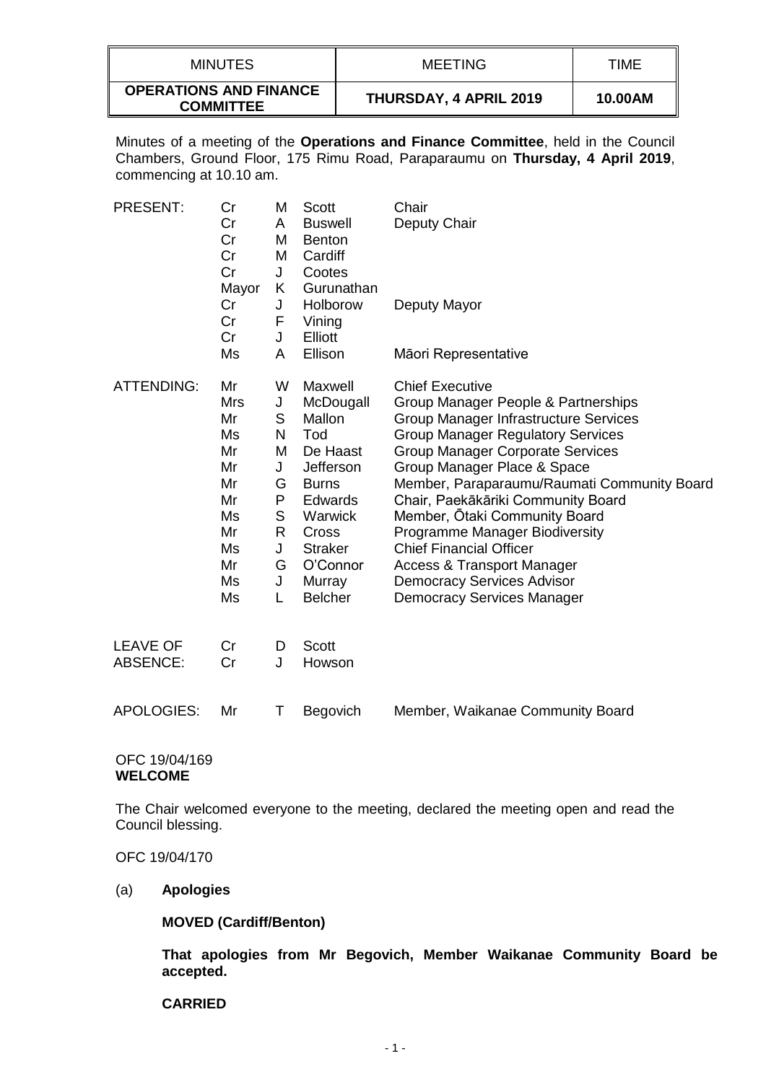| MINUTES                                           | MEETING                | TIME    |
|---------------------------------------------------|------------------------|---------|
| <b>OPERATIONS AND FINANCE</b><br><b>COMMITTEE</b> | THURSDAY, 4 APRIL 2019 | 10.00AM |

Minutes of a meeting of the **Operations and Finance Committee**, held in the Council Chambers, Ground Floor, 175 Rimu Road, Paraparaumu on **Thursday, 4 April 2019**, commencing at 10.10 am.

| <b>PRESENT:</b>                    | Cr<br>Cr<br>Cr<br>Cr<br>Cr<br>Mayor                                                      | Μ<br>A<br>M<br>M<br>J<br>K                                         | Scott<br><b>Buswell</b><br><b>Benton</b><br>Cardiff<br>Cootes<br>Gurunathan                                                                                                    | Chair<br>Deputy Chair                                                                                                                                                                                                                                                                                                                                                                                                                                                                                                                     |
|------------------------------------|------------------------------------------------------------------------------------------|--------------------------------------------------------------------|--------------------------------------------------------------------------------------------------------------------------------------------------------------------------------|-------------------------------------------------------------------------------------------------------------------------------------------------------------------------------------------------------------------------------------------------------------------------------------------------------------------------------------------------------------------------------------------------------------------------------------------------------------------------------------------------------------------------------------------|
|                                    | Cr<br>Cr<br>Cr                                                                           | J<br>F<br>J                                                        | Holborow<br>Vining<br>Elliott                                                                                                                                                  | Deputy Mayor                                                                                                                                                                                                                                                                                                                                                                                                                                                                                                                              |
|                                    | Ms                                                                                       | A                                                                  | Ellison                                                                                                                                                                        | Māori Representative                                                                                                                                                                                                                                                                                                                                                                                                                                                                                                                      |
| <b>ATTENDING:</b>                  | Mr<br><b>Mrs</b><br>Mr<br>Ms<br>Mr<br>Mr<br>Mr<br>Mr<br>Ms<br>Mr<br>Ms<br>Mr<br>Ms<br>Ms | W<br>J<br>S<br>N<br>M<br>J<br>G<br>P<br>S<br>R<br>J<br>G<br>J<br>L | Maxwell<br>McDougall<br>Mallon<br>Tod<br>De Haast<br>Jefferson<br><b>Burns</b><br><b>Edwards</b><br>Warwick<br>Cross<br><b>Straker</b><br>O'Connor<br>Murray<br><b>Belcher</b> | <b>Chief Executive</b><br>Group Manager People & Partnerships<br>Group Manager Infrastructure Services<br><b>Group Manager Regulatory Services</b><br><b>Group Manager Corporate Services</b><br>Group Manager Place & Space<br>Member, Paraparaumu/Raumati Community Board<br>Chair, Paekākāriki Community Board<br>Member, Otaki Community Board<br>Programme Manager Biodiversity<br><b>Chief Financial Officer</b><br><b>Access &amp; Transport Manager</b><br><b>Democracy Services Advisor</b><br><b>Democracy Services Manager</b> |
| <b>LEAVE OF</b><br><b>ABSENCE:</b> | Cr<br>Cr                                                                                 | D<br>J                                                             | Scott<br>Howson                                                                                                                                                                |                                                                                                                                                                                                                                                                                                                                                                                                                                                                                                                                           |
| <b>APOLOGIES:</b>                  | Mr                                                                                       | Τ                                                                  | Begovich                                                                                                                                                                       | Member, Waikanae Community Board                                                                                                                                                                                                                                                                                                                                                                                                                                                                                                          |

### OFC 19/04/169 **WELCOME**

The Chair welcomed everyone to the meeting, declared the meeting open and read the Council blessing.

OFC 19/04/170

#### (a) **Apologies**

**MOVED (Cardiff/Benton)**

**That apologies from Mr Begovich, Member Waikanae Community Board be accepted.**

#### **CARRIED**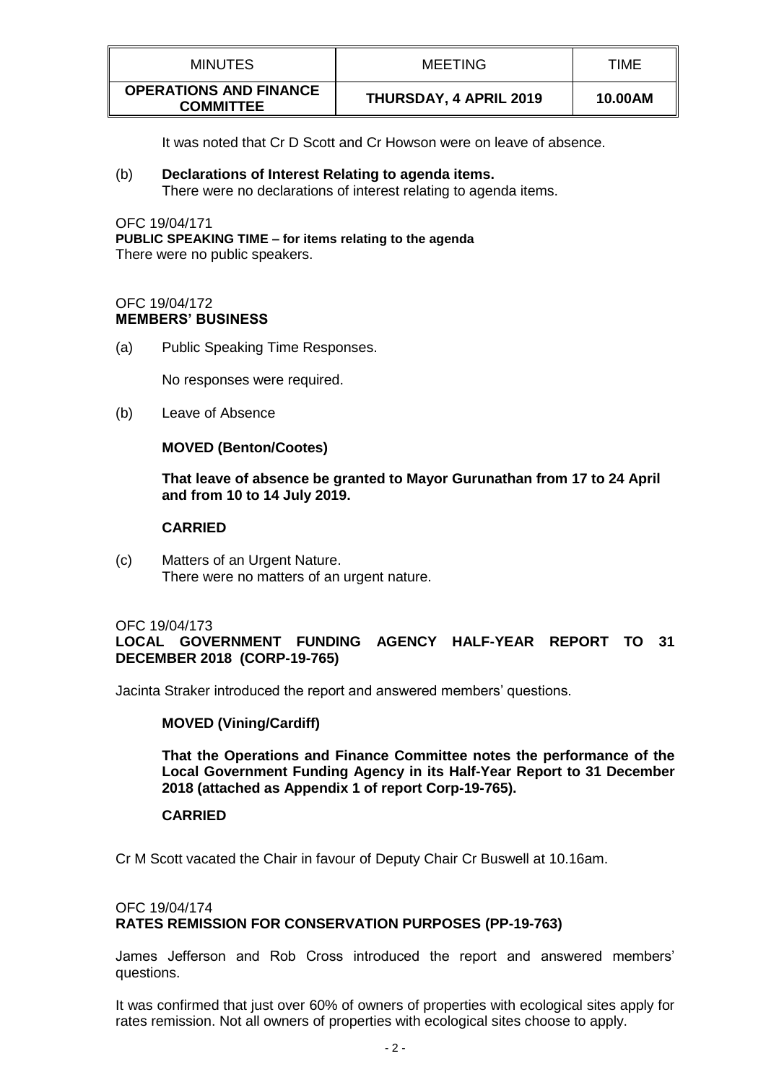| MINUTES                                           | <b>MEETING</b>         | TIME    |
|---------------------------------------------------|------------------------|---------|
| <b>OPERATIONS AND FINANCE</b><br><b>COMMITTEE</b> | THURSDAY, 4 APRIL 2019 | 10.00AM |

It was noted that Cr D Scott and Cr Howson were on leave of absence.

### (b) **Declarations of Interest Relating to agenda items.** There were no declarations of interest relating to agenda items.

OFC 19/04/171 **PUBLIC SPEAKING TIME – for items relating to the agenda** There were no public speakers.

#### OFC 19/04/172 **MEMBERS' BUSINESS**

(a) Public Speaking Time Responses.

No responses were required.

(b) Leave of Absence

### **MOVED (Benton/Cootes)**

**That leave of absence be granted to Mayor Gurunathan from 17 to 24 April and from 10 to 14 July 2019.**

### **CARRIED**

(c) Matters of an Urgent Nature. There were no matters of an urgent nature.

#### OFC 19/04/173

**LOCAL GOVERNMENT FUNDING AGENCY HALF-YEAR REPORT TO 31 DECEMBER 2018 (CORP-19-765)**

Jacinta Straker introduced the report and answered members' questions.

# **MOVED (Vining/Cardiff)**

**That the Operations and Finance Committee notes the performance of the Local Government Funding Agency in its Half-Year Report to 31 December 2018 (attached as Appendix 1 of report Corp-19-765).**

# **CARRIED**

Cr M Scott vacated the Chair in favour of Deputy Chair Cr Buswell at 10.16am.

### OFC 19/04/174 **RATES REMISSION FOR CONSERVATION PURPOSES (PP-19-763)**

James Jefferson and Rob Cross introduced the report and answered members' questions.

It was confirmed that just over 60% of owners of properties with ecological sites apply for rates remission. Not all owners of properties with ecological sites choose to apply.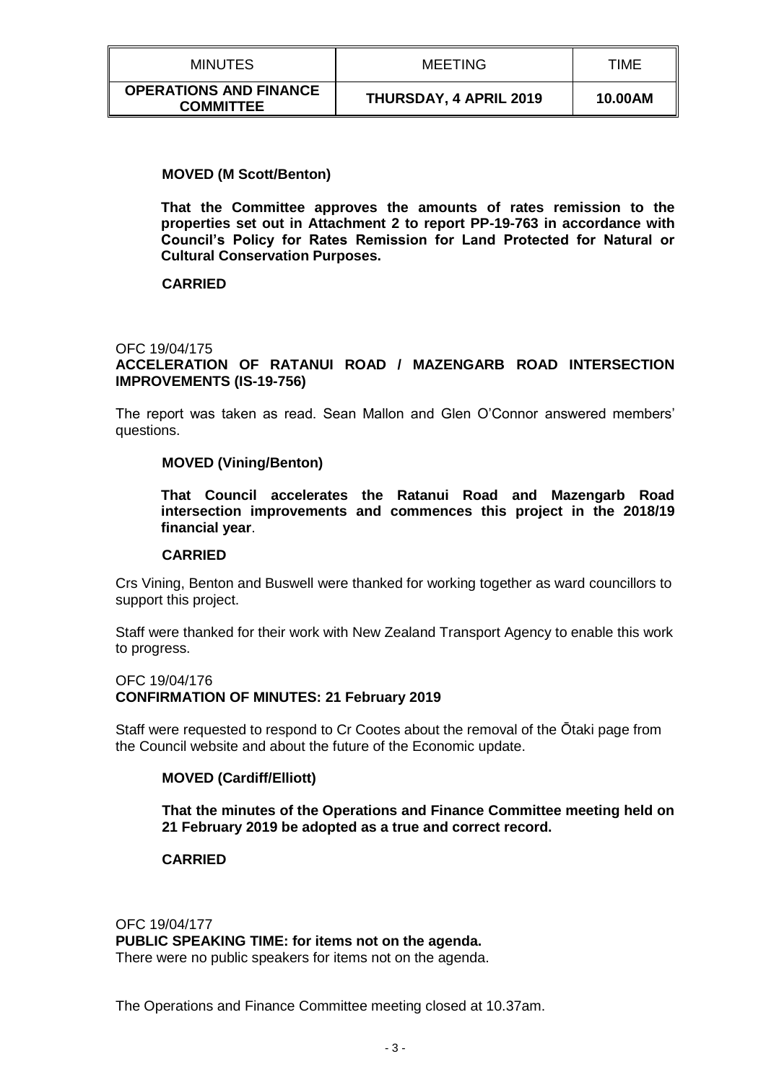| MINUTES                                           | <b>MEETING</b>         | TIME    |
|---------------------------------------------------|------------------------|---------|
| <b>OPERATIONS AND FINANCE</b><br><b>COMMITTEE</b> | THURSDAY, 4 APRIL 2019 | 10.00AM |

### **MOVED (M Scott/Benton)**

**That the Committee approves the amounts of rates remission to the properties set out in Attachment 2 to report PP-19-763 in accordance with Council's Policy for Rates Remission for Land Protected for Natural or Cultural Conservation Purposes.**

### **CARRIED**

# OFC 19/04/175 **ACCELERATION OF RATANUI ROAD / MAZENGARB ROAD INTERSECTION IMPROVEMENTS (IS-19-756)**

The report was taken as read. Sean Mallon and Glen O'Connor answered members' questions.

### **MOVED (Vining/Benton)**

**That Council accelerates the Ratanui Road and Mazengarb Road intersection improvements and commences this project in the 2018/19 financial year**.

#### **CARRIED**

Crs Vining, Benton and Buswell were thanked for working together as ward councillors to support this project.

Staff were thanked for their work with New Zealand Transport Agency to enable this work to progress.

# OFC 19/04/176

#### **CONFIRMATION OF MINUTES: 21 February 2019**

Staff were requested to respond to Cr Cootes about the removal of the Ōtaki page from the Council website and about the future of the Economic update.

#### **MOVED (Cardiff/Elliott)**

**That the minutes of the Operations and Finance Committee meeting held on 21 February 2019 be adopted as a true and correct record.**

#### **CARRIED**

OFC 19/04/177 **PUBLIC SPEAKING TIME: for items not on the agenda.** There were no public speakers for items not on the agenda.

The Operations and Finance Committee meeting closed at 10.37am.